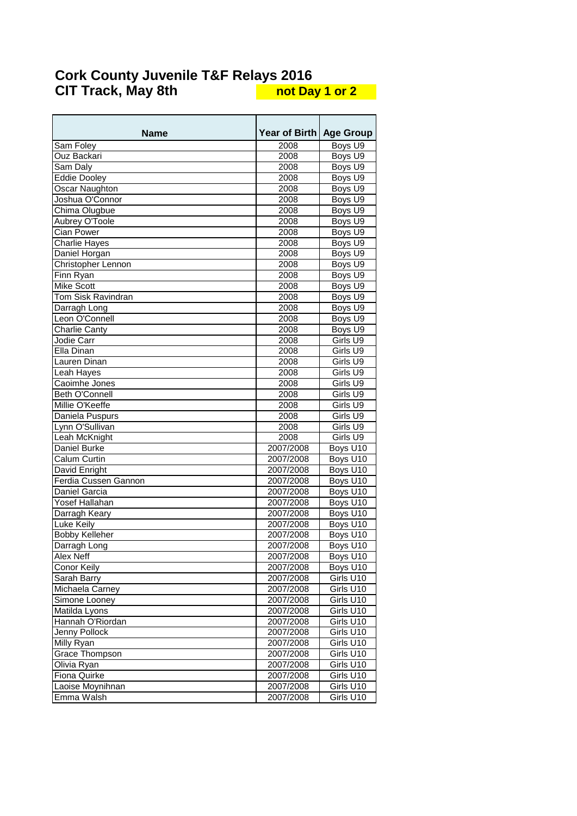| <b>Name</b>           | <b>Year of Birth</b> | <b>Age Group</b>      |
|-----------------------|----------------------|-----------------------|
| Sam Foley             | 2008                 | Boys U9               |
| Ouz Backari           | 2008                 | Boys U9               |
| Sam Daly              | 2008                 | Boys U9               |
| Eddie Dooley          | 2008                 | Boys U9               |
| Oscar Naughton        | 2008                 | Boys U9               |
| Joshua O'Connor       | 2008                 | Boys U9               |
| Chima Olugbue         | 2008                 | Boys U9               |
| Aubrey O'Toole        | 2008                 | Boys U9               |
| Cian Power            | 2008                 | Boys U9               |
| <b>Charlie Hayes</b>  | 2008                 | Boys U9               |
| Daniel Horgan         | 2008                 | Boys U9               |
| Christopher Lennon    | 2008                 | Boys U9               |
| Finn Ryan             | 2008                 | Boys U9               |
| <b>Mike Scott</b>     | 2008                 | Boys U9               |
| Tom Sisk Ravindran    | 2008                 | Boys U9               |
| Darragh Long          | 2008                 | Boys U9               |
| Leon O'Connell        | 2008                 | Boys U9               |
| <b>Charlie Canty</b>  | 2008                 | Boys U9               |
| Jodie Carr            | 2008                 | Girls U9              |
| Ella Dinan            | 2008                 | Girls U9              |
| Lauren Dinan          | 2008                 | Girls U9              |
| Leah Hayes            | 2008                 | Girls U9              |
| Caoimhe Jones         | 2008                 | Girls U9              |
| <b>Beth O'Connell</b> | 2008                 | Girls U9              |
| Millie O'Keeffe       | 2008                 | Girls U9              |
| Daniela Puspurs       | 2008                 | Girls U9              |
| Lynn O'Sullivan       | 2008                 | Girls U9              |
| Leah McKnight         | 2008                 | Girls U9              |
| Daniel Burke          | 2007/2008            | Boys U10              |
| Calum Curtin          | 2007/2008            | Boys U10              |
| David Enright         | 2007/2008            | Boys U10              |
| Ferdia Cussen Gannon  | 2007/2008            | Boys U10              |
| Daniel Garcia         | 2007/2008            | Boys U10              |
| Yosef Hallahan        | 2007/2008            | Boys U10              |
| Darragh Keary         | 2007/2008            | Boys U10              |
| Luke Keily            | 2007/2008            | Boys U10              |
| Bobby Kelleher        | 2007/2008            | Boys U10              |
| Darragh Long          | 2007/2008            | Boys U10              |
| Alex Neff             | 2007/2008            | Boys U10              |
| Conor Keily           | 2007/2008            | Boys U10              |
| Sarah Barry           | 2007/2008            | Girls U <sub>10</sub> |
| Michaela Carney       | 2007/2008            | Girls U10             |
| Simone Looney         | 2007/2008            | Girls U10             |
| Matilda Lyons         | 2007/2008            | Girls U10             |
| Hannah O'Riordan      | 2007/2008            | Girls U10             |
| Jenny Pollock         | 2007/2008            | Girls U10             |
| Milly Ryan            | 2007/2008            | Girls U10             |
| <b>Grace Thompson</b> | 2007/2008            | Girls U10             |
| Olivia Ryan           | 2007/2008            | Girls U10             |
| Fiona Quirke          | 2007/2008            | Girls U10             |
| Laoise Moynihnan      | 2007/2008            | Girls U10             |
| Emma Walsh            | 2007/2008            | Girls U10             |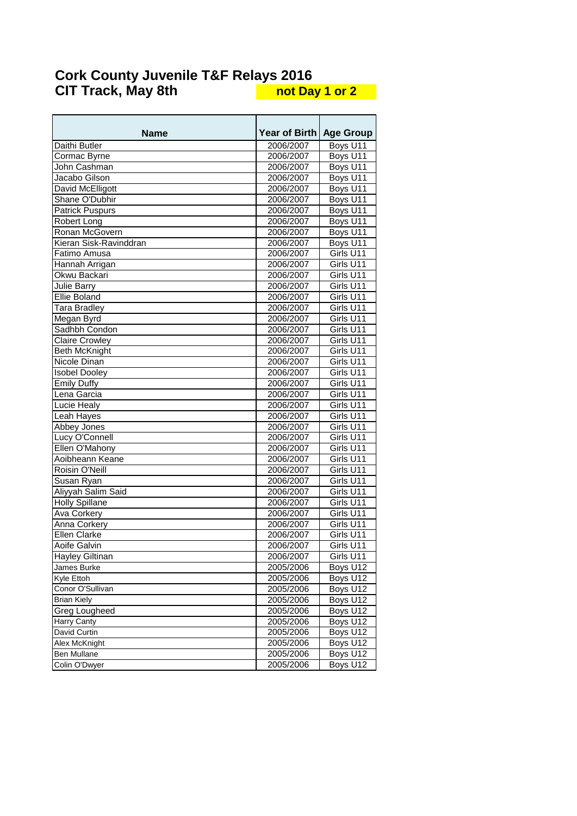| <b>Name</b>            | <b>Year of Birth</b> | <b>Age Group</b> |
|------------------------|----------------------|------------------|
| Daithi Butler          | 2006/2007            | Boys U11         |
| Cormac Byrne           | 2006/2007            | Boys U11         |
| John Cashman           | 2006/2007            | Boys U11         |
| Jacabo Gilson          | 2006/2007            | Boys U11         |
| David McElligott       | 2006/2007            | Boys U11         |
| Shane O'Dubhir         | 2006/2007            | Boys U11         |
| <b>Patrick Puspurs</b> | 2006/2007            | Boys U11         |
| Robert Long            | 2006/2007            | Boys U11         |
| Ronan McGovern         | 2006/2007            | Boys U11         |
| Kieran Sisk-Ravinddran | 2006/2007            | Boys U11         |
| Fatimo Amusa           | 2006/2007            | Girls U11        |
| Hannah Arrigan         | 2006/2007            | Girls U11        |
| Okwu Backari           | 2006/2007            | Girls U11        |
| <b>Julie Barry</b>     | 2006/2007            | Girls U11        |
| <b>Ellie Boland</b>    | 2006/2007            | Girls U11        |
| <b>Tara Bradley</b>    | 2006/2007            | Girls U11        |
| Megan Byrd             | 2006/2007            | Girls U11        |
| Sadhbh Condon          | 2006/2007            | Girls U11        |
| <b>Claire Crowley</b>  | 2006/2007            | Girls U11        |
| <b>Beth McKnight</b>   | 2006/2007            | Girls U11        |
| Nicole Dinan           | 2006/2007            | Girls U11        |
| <b>Isobel Dooley</b>   | 2006/2007            | Girls U11        |
| <b>Emily Duffy</b>     | 2006/2007            | Girls U11        |
| Lena Garcia            | 2006/2007            | Girls U11        |
| Lucie Healy            | 2006/2007            | Girls U11        |
| Leah Hayes             | 2006/2007            | Girls U11        |
| Abbey Jones            | 2006/2007            | Girls U11        |
| Lucy O'Connell         | 2006/2007            | Girls U11        |
| Ellen O'Mahony         | 2006/2007            | Girls U11        |
| Aoibheann Keane        | 2006/2007            | Girls U11        |
| Roisin O'Neill         | 2006/2007            | Girls U11        |
| Susan Ryan             | 2006/2007            | Girls U11        |
| Aliyyah Salim Said     | 2006/2007            | Girls U11        |
| <b>Holly Spillane</b>  | 2006/2007            | Girls U11        |
| Ava Corkery            | 2006/2007            | Girls U11        |
| Anna Corkery           | 2006/2007            | Girls U11        |
| <b>Ellen Clarke</b>    | 2006/2007            | Girls U11        |
| Aoife Galvin           | 2006/2007            | Girls U11        |
| <b>Hayley Giltinan</b> | 2006/2007            | Girls U11        |
| James Burke            | 2005/2006            | Boys U12         |
| Kyle Ettoh             | 2005/2006            | Boys U12         |
| Conor O'Sullivan       | 2005/2006            | Boys U12         |
| <b>Brian Kiely</b>     | 2005/2006            | Boys U12         |
| <b>Greg Lougheed</b>   | 2005/2006            | Boys U12         |
| <b>Harry Canty</b>     | 2005/2006            | Boys U12         |
| David Curtin           | 2005/2006            | Boys U12         |
| Alex McKnight          | 2005/2006            | Boys U12         |
| Ben Mullane            | 2005/2006            | Boys U12         |
| Colin O'Dwyer          | 2005/2006            | Boys U12         |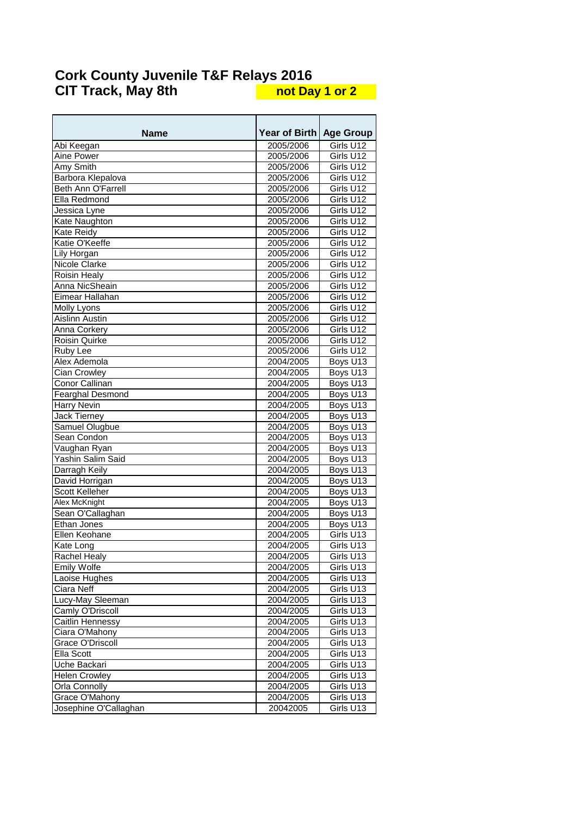| Name                      | <b>Year of Birth</b>   | <b>Age Group</b>       |
|---------------------------|------------------------|------------------------|
|                           | 2005/2006              |                        |
| Abi Keegan                |                        | Girls U12              |
| Aine Power<br>Amy Smith   | 2005/2006<br>2005/2006 | Girls U12<br>Girls U12 |
|                           |                        | Girls $U\overline{12}$ |
| Barbora Klepalova         | 2005/2006              |                        |
| <b>Beth Ann O'Farrell</b> | 2005/2006              | Girls U12              |
| Ella Redmond              | 2005/2006              | Girls U12              |
| Jessica Lyne              | 2005/2006              | Girls U12              |
| Kate Naughton             | 2005/2006              | Girls U12              |
| Kate Reidy                | 2005/2006              | Girls U12              |
| Katie O'Keeffe            | 2005/2006              | Girls U12              |
| Lily Horgan               | 2005/2006              | Girls U12              |
| Nicole Clarke             | 2005/2006              | Girls $U\overline{12}$ |
| <b>Roisin Healy</b>       | 2005/2006              | Girls U12              |
| Anna NicSheain            | 2005/2006              | Girls U12              |
| Eimear Hallahan           | 2005/2006              | Girls U12              |
| Molly Lyons               | 2005/2006              | Girls U12              |
| <b>Aislinn Austin</b>     | 2005/2006              | Girls U12              |
| Anna Corkery              | 2005/2006              | Girls $U\overline{12}$ |
| Roisin Quirke             | 2005/2006              | Girls U12              |
| Ruby Lee                  | 2005/2006              | Girls U12              |
| Alex Ademola              | 2004/2005              | Boys U13               |
| <b>Cian Crowley</b>       | 2004/2005              | Boys U13               |
| Conor Callinan            | 2004/2005              | Boys U13               |
| Fearghal Desmond          | 2004/2005              | Boys U13               |
| Harry Nevin               | 2004/2005              | Boys U13               |
| Jack Tierney              | 2004/2005              | Boys U13               |
| Samuel Olugbue            | 2004/2005              | Boys U <sub>13</sub>   |
| Sean Condon               | 2004/2005              | Boys U13               |
| Vaughan Ryan              | 2004/2005              | Boys U13               |
| Yashin Salim Said         | 2004/2005              | Boys U13               |
| Darragh Keily             | 2004/2005              | Boys U13               |
| David Horrigan            | 2004/2005              | Boys U13               |
| Scott Kelleher            | 2004/2005              | Boys U13               |
| Alex McKnight             | 2004/2005              | Boys U13               |
| Sean O'Callaghan          | 2004/2005              | Boys U13               |
| Ethan Jones               | 2004/2005              | Boys U13               |
| Ellen Keohane             | 2004/2005              | Girls U13              |
| Kate Long                 | 2004/2005              | Girls U13              |
| <b>Rachel Healy</b>       | 2004/2005              | Girls U13              |
| <b>Emily Wolfe</b>        | 2004/2005              | Girls U13              |
| Laoise Hughes             | 2004/2005              | Girls $U\overline{13}$ |
| Ciara Neff                | 2004/2005              | Girls U13              |
| Lucy-May Sleeman          | 2004/2005              | Girls U13              |
| Camly O'Driscoll          | 2004/2005              | Girls U13              |
| Caitlin Hennessy          | 2004/2005              | Girls U13              |
| Ciara O'Mahony            | 2004/2005              | Girls U13              |
| Grace O'Driscoll          | 2004/2005              | Girls U13              |
| Ella Scott                | 2004/2005              | Girls U13              |
| Uche Backari              | 2004/2005              | Girls U13              |
| <b>Helen Crowley</b>      | 2004/2005              | Girls U13              |
| Orla Connolly             | 2004/2005              | Girls U13              |
| Grace O'Mahony            | 2004/2005              | Girls U13              |
| Josephine O'Callaghan     | 20042005               | Girls U13              |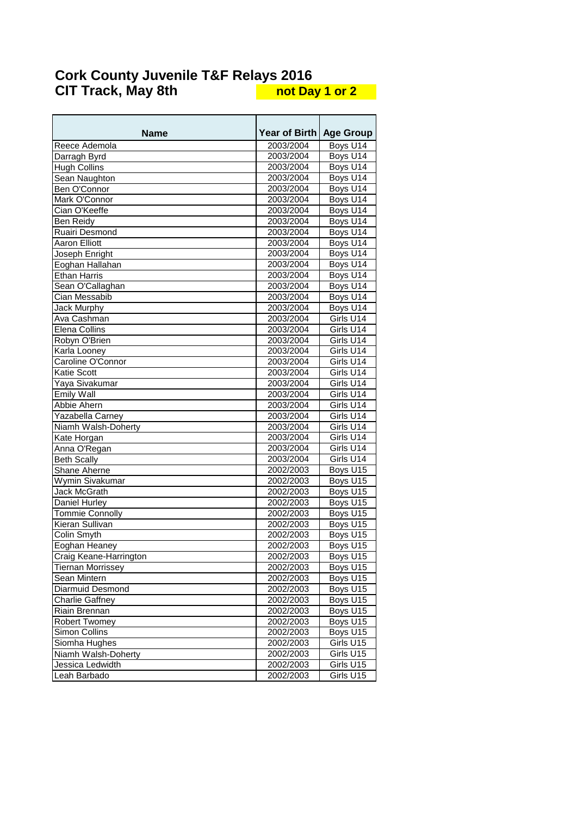| Name                     | <b>Year of Birth</b> | <b>Age Group</b> |
|--------------------------|----------------------|------------------|
| Reece Ademola            | 2003/2004            | Boys U14         |
| Darragh Byrd             | 2003/2004            | Boys U14         |
| <b>Hugh Collins</b>      | 2003/2004            | Boys U14         |
| Sean Naughton            | 2003/2004            | Boys U14         |
| Ben O'Connor             | 2003/2004            | Boys U14         |
| Mark O'Connor            | 2003/2004            | Boys U14         |
| Cian O'Keeffe            | 2003/2004            | Boys U14         |
| Ben Reidy                | 2003/2004            | Boys U14         |
| Ruairi Desmond           | 2003/2004            | Boys U14         |
| <b>Aaron Elliott</b>     | 2003/2004            | Boys U14         |
| Joseph Enright           | 2003/2004            | Boys U14         |
| Eoghan Hallahan          | 2003/2004            | Boys U14         |
| <b>Ethan Harris</b>      | 2003/2004            | Boys U14         |
| Sean O'Callaghan         | 2003/2004            | Boys U14         |
| Cian Messabib            | 2003/2004            | Boys U14         |
| <b>Jack Murphy</b>       | 2003/2004            | Boys U14         |
| Ava Cashman              | 2003/2004            | Girls U14        |
| <b>Elena Collins</b>     | 2003/2004            | Girls U14        |
| Robyn O'Brien            | 2003/2004            | Girls U14        |
| Karla Looney             | 2003/2004            | Girls U14        |
| Caroline O'Connor        | 2003/2004            | Girls U14        |
| Katie Scott              | 2003/2004            | Girls U14        |
| Yaya Sivakumar           | 2003/2004            | Girls U14        |
| Emily Wall               | 2003/2004            | Girls U14        |
| Abbie Ahern              | 2003/2004            | Girls U14        |
| Yazabella Carney         | 2003/2004            | Girls U14        |
| Niamh Walsh-Doherty      | 2003/2004            | Girls U14        |
| Kate Horgan              | 2003/2004            | Girls U14        |
| Anna O'Regan             | 2003/2004            | Girls U14        |
| <b>Beth Scally</b>       | 2003/2004            | Girls U14        |
| Shane Aherne             | 2002/2003            | Boys U15         |
| Wymin Sivakumar          | 2002/2003            | Boys U15         |
| Jack McGrath             | 2002/2003            | Boys U15         |
| Daniel Hurley            | 2002/2003            | Boys U15         |
| <b>Tommie Connolly</b>   | 2002/2003            | Boys U15         |
| Kieran Sullivan          | 2002/2003            | Boys U15         |
| Colin Smyth              | 2002/2003            | Boys U15         |
| Eoghan Heaney            | 2002/2003            | Boys U15         |
| Craig Keane-Harrington   | 2002/2003            | Boys U15         |
| <b>Tiernan Morrissey</b> | 2002/2003            | Boys U15         |
| Sean Mintern             | 2002/2003            | Boys U15         |
| Diarmuid Desmond         | 2002/2003            | Boys U15         |
| <b>Charlie Gaffney</b>   | 2002/2003            | Boys U15         |
| Riain Brennan            | 2002/2003            | Boys U15         |
| <b>Robert Twomey</b>     | 2002/2003            | Boys U15         |
| Simon Collins            | 2002/2003            | Boys U15         |
| Siomha Hughes            | 2002/2003            | Girls U15        |
| Niamh Walsh-Doherty      | 2002/2003            | Girls U15        |
| Jessica Ledwidth         | 2002/2003            | Girls U15        |
| Leah Barbado             | 2002/2003            | Girls U15        |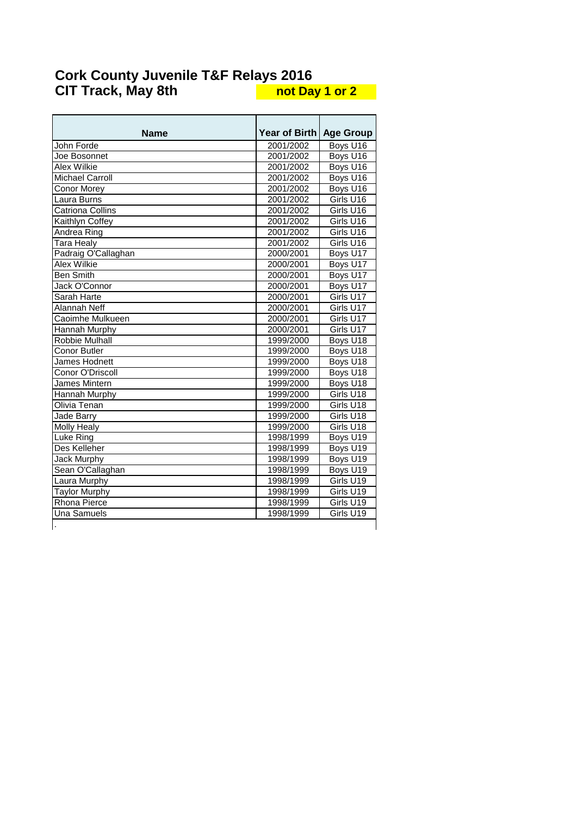| <b>Name</b>             | <b>Year of Birth I</b> | <b>Age Group</b> |
|-------------------------|------------------------|------------------|
| John Forde              | 2001/2002              | Boys U16         |
| Joe Bosonnet            | 2001/2002              | Boys U16         |
| Alex Wilkie             | 2001/2002              | Boys U16         |
| Michael Carroll         | 2001/2002              | Boys U16         |
| <b>Conor Morev</b>      | 2001/2002              | Boys U16         |
| Laura Burns             | 2001/2002              | Girls U16        |
| <b>Catriona Collins</b> | 2001/2002              | Girls U16        |
| Kaithlyn Coffey         | 2001/2002              | Girls U16        |
| Andrea Ring             | 2001/2002              | Girls U16        |
| <b>Tara Healy</b>       | 2001/2002              | Girls U16        |
| Padraig O'Callaghan     | 2000/2001              | Boys U17         |
| Alex Wilkie             | 2000/2001              | Boys U17         |
| <b>Ben Smith</b>        | 2000/2001              | Boys U17         |
| Jack O'Connor           | 2000/2001              | Boys U17         |
| Sarah Harte             | 2000/2001              | Girls U17        |
| Alannah Neff            | 2000/2001              | Girls U17        |
| Caoimhe Mulkueen        | 2000/2001              | Girls U17        |
| Hannah Murphy           | 2000/2001              | Girls U17        |
| Robbie Mulhall          | 1999/2000              | Boys U18         |
| <b>Conor Butler</b>     | 1999/2000              | Boys U18         |
| James Hodnett           | 1999/2000              | Boys U18         |
| Conor O'Driscoll        | 1999/2000              | Boys U18         |
| James Mintern           | 1999/2000              | Boys U18         |
| Hannah Murphy           | 1999/2000              | Girls U18        |
| Olivia Tenan            | 1999/2000              | Girls U18        |
| <b>Jade Barry</b>       | 1999/2000              | Girls U18        |
| <b>Molly Healy</b>      | 1999/2000              | Girls U18        |
| Luke Ring               | 1998/1999              | Boys U19         |
| Des Kelleher            | 1998/1999              | Boys U19         |
| <b>Jack Murphy</b>      | 1998/1999              | Boys U19         |
| Sean O'Callaghan        | 1998/1999              | Boys U19         |
| Laura Murphy            | 1998/1999              | Girls U19        |
| <b>Taylor Murphy</b>    | 1998/1999              | Girls U19        |
| Rhona Pierce            | 1998/1999              | Girls U19        |
| <b>Una Samuels</b>      | 1998/1999              | Girls U19        |
|                         |                        |                  |